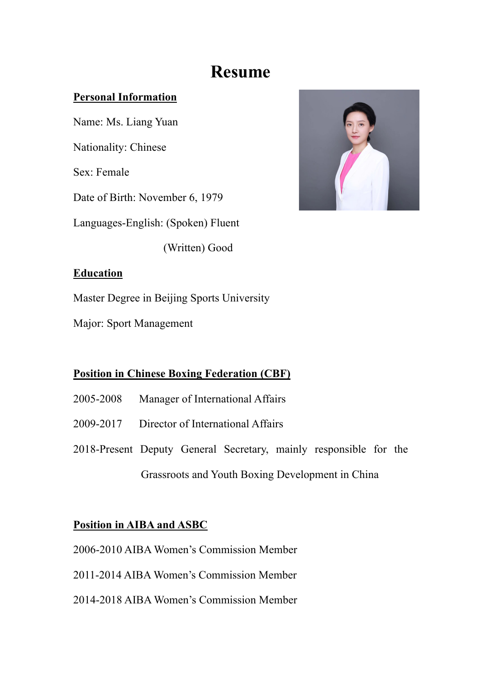# **Resume**

#### **Personal Information**

Name: Ms. Liang Yuan Nationality: Chinese Sex: Female Date of Birth: November 6, 1979 Languages-English: (Spoken) Fluent

(Written) Good



#### **Education**

Master Degree in Beijing Sports University

Major: Sport Management

## **Position in Chinese Boxing Federation (CBF)**

- 2005-2008 Manager of International Affairs
- 2009-2017 Director of International Affairs
- 2018-Present Deputy General Secretary, mainly responsible for the Grassroots and Youth Boxing Development in China

## **Position in AIBA and ASBC**

- 2006-2010 AIBA Women's Commission Member
- 2011-2014 AIBA Women's Commission Member
- 2014-2018 AIBA Women's Commission Member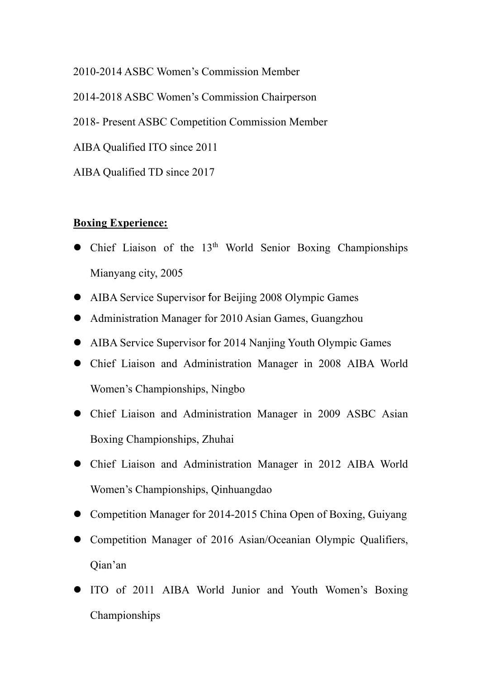2010-2014 ASBC Women's Commission Member 2014-2018 ASBC Women's Commission Chairperson 2018- Present ASBC Competition Commission Member AIBA Qualified ITO since 2011 AIBA Qualified TD since 2017

#### **Boxing Experience:**

- $\bullet$  Chief Liaison of the 13<sup>th</sup> World Senior Boxing Championships Mianyang city, 2005
- AIBA Service Supervisor for Beijing 2008 Olympic Games
- Administration Manager for 2010 Asian Games, Guangzhou
- **I** AIBA Service Supervisor for 2014 Nanjing Youth Olympic Games
- **•** Chief Liaison and Administration Manager in 2008 AIBA World Women's Championships, Ningbo
- **•** Chief Liaison and Administration Manager in 2009 ASBC Asian Boxing Championships, Zhuhai
- Chief Liaison and Administration Manager in 2012 AIBA World Women's Championships, Qinhuangdao
- **•** Competition Manager for 2014-2015 China Open of Boxing, Guiyang
- l Competition Manager of 2016 Asian/Oceanian Olympic Qualifiers, Qian'an
- **.** ITO of 2011 AIBA World Junior and Youth Women's Boxing Championships